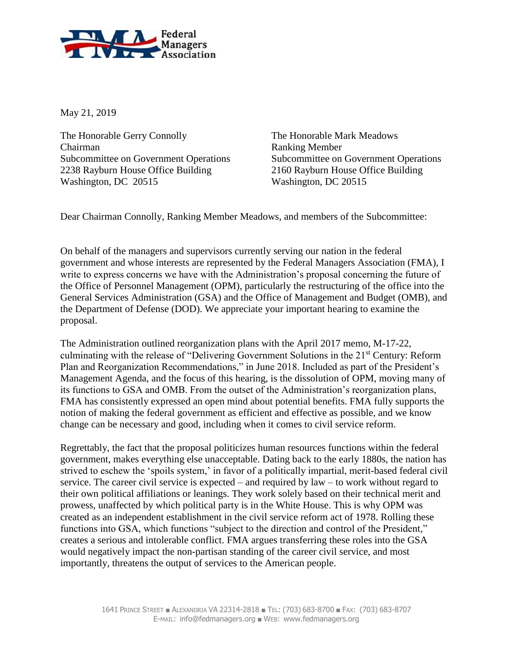

May 21, 2019

The Honorable Gerry Connolly The Honorable Mark Meadows Chairman Ranking Member 2238 Rayburn House Office Building 2160 Rayburn House Office Building Washington, DC 20515 Washington, DC 20515

Subcommittee on Government Operations Subcommittee on Government Operations

Dear Chairman Connolly, Ranking Member Meadows, and members of the Subcommittee:

On behalf of the managers and supervisors currently serving our nation in the federal government and whose interests are represented by the Federal Managers Association (FMA), I write to express concerns we have with the Administration's proposal concerning the future of the Office of Personnel Management (OPM), particularly the restructuring of the office into the General Services Administration (GSA) and the Office of Management and Budget (OMB), and the Department of Defense (DOD). We appreciate your important hearing to examine the proposal.

The Administration outlined reorganization plans with the April 2017 memo, M-17-22, culminating with the release of "Delivering Government Solutions in the 21<sup>st</sup> Century: Reform Plan and Reorganization Recommendations," in June 2018. Included as part of the President's Management Agenda, and the focus of this hearing, is the dissolution of OPM, moving many of its functions to GSA and OMB. From the outset of the Administration's reorganization plans, FMA has consistently expressed an open mind about potential benefits. FMA fully supports the notion of making the federal government as efficient and effective as possible, and we know change can be necessary and good, including when it comes to civil service reform.

Regrettably, the fact that the proposal politicizes human resources functions within the federal government, makes everything else unacceptable. Dating back to the early 1880s, the nation has strived to eschew the 'spoils system,' in favor of a politically impartial, merit-based federal civil service. The career civil service is expected – and required by law – to work without regard to their own political affiliations or leanings. They work solely based on their technical merit and prowess, unaffected by which political party is in the White House. This is why OPM was created as an independent establishment in the civil service reform act of 1978. Rolling these functions into GSA, which functions "subject to the direction and control of the President," creates a serious and intolerable conflict. FMA argues transferring these roles into the GSA would negatively impact the non-partisan standing of the career civil service, and most importantly, threatens the output of services to the American people.